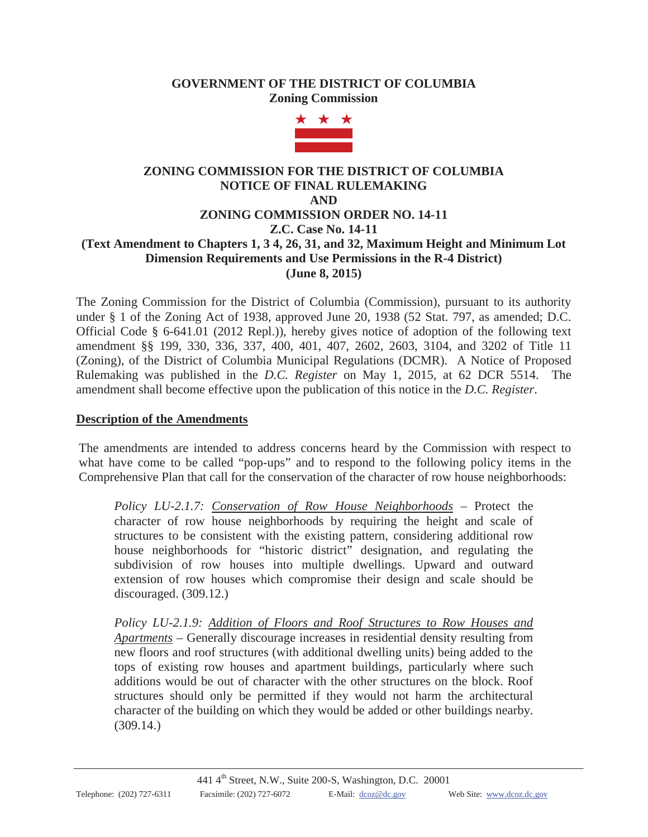## **GOVERNMENT OF THE DISTRICT OF COLUMBIA Zoning Commission**



# **ZONING COMMISSION FOR THE DISTRICT OF COLUMBIA NOTICE OF FINAL RULEMAKING AND ZONING COMMISSION ORDER NO. 14-11 Z.C. Case No. 14-11 (Text Amendment to Chapters 1, 3 4, 26, 31, and 32, Maximum Height and Minimum Lot Dimension Requirements and Use Permissions in the R-4 District) (June 8, 2015)**

The Zoning Commission for the District of Columbia (Commission), pursuant to its authority under § 1 of the Zoning Act of 1938, approved June 20, 1938 (52 Stat. 797, as amended; D.C. Official Code § 6-641.01 (2012 Repl.)), hereby gives notice of adoption of the following text amendment §§ 199, 330, 336, 337, 400, 401, 407, 2602, 2603, 3104, and 3202 of Title 11 (Zoning), of the District of Columbia Municipal Regulations (DCMR). A Notice of Proposed Rulemaking was published in the *D.C. Register* on May 1, 2015, at 62 DCR 5514. The amendment shall become effective upon the publication of this notice in the *D.C. Register*.

## **Description of the Amendments**

The amendments are intended to address concerns heard by the Commission with respect to what have come to be called "pop-ups" and to respond to the following policy items in the Comprehensive Plan that call for the conservation of the character of row house neighborhoods:

*Policy LU-2.1.7: Conservation of Row House Neighborhoods* – Protect the character of row house neighborhoods by requiring the height and scale of structures to be consistent with the existing pattern, considering additional row house neighborhoods for "historic district" designation, and regulating the subdivision of row houses into multiple dwellings. Upward and outward extension of row houses which compromise their design and scale should be discouraged. (309.12.)

*Policy LU-2.1.9: Addition of Floors and Roof Structures to Row Houses and Apartments* – Generally discourage increases in residential density resulting from new floors and roof structures (with additional dwelling units) being added to the tops of existing row houses and apartment buildings, particularly where such additions would be out of character with the other structures on the block. Roof structures should only be permitted if they would not harm the architectural character of the building on which they would be added or other buildings nearby. (309.14.)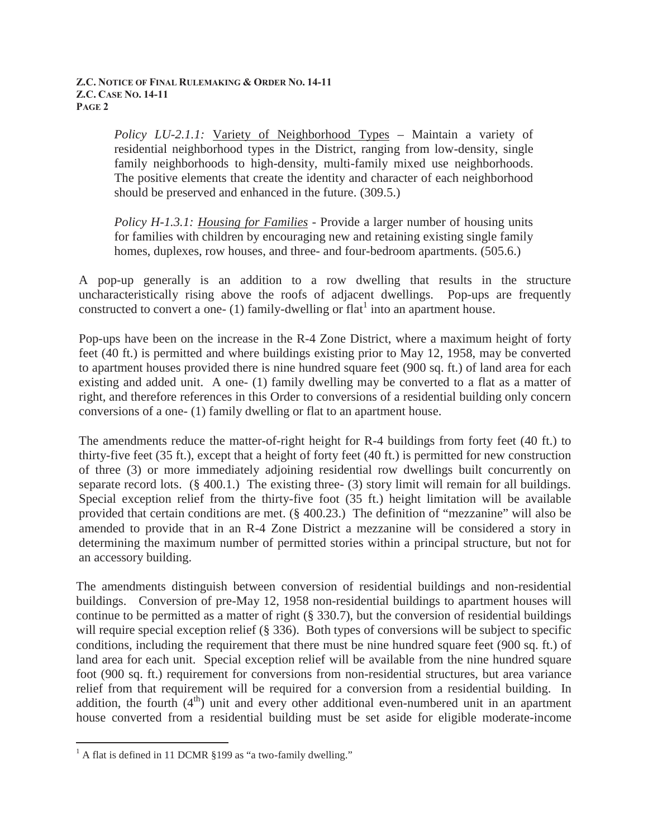*Policy LU-2.1.1:* Variety of Neighborhood Types – Maintain a variety of residential neighborhood types in the District, ranging from low-density, single family neighborhoods to high-density, multi-family mixed use neighborhoods. The positive elements that create the identity and character of each neighborhood should be preserved and enhanced in the future. (309.5.)

*Policy H-1.3.1: Housing for Families* - Provide a larger number of housing units for families with children by encouraging new and retaining existing single family homes, duplexes, row houses, and three- and four-bedroom apartments. (505.6.)

A pop-up generally is an addition to a row dwelling that results in the structure uncharacteristically rising above the roofs of adjacent dwellings. Pop-ups are frequently constructed to convert a one-  $(1)$  family-dwelling or flat<sup>1</sup> into an apartment house.

Pop-ups have been on the increase in the R-4 Zone District, where a maximum height of forty feet (40 ft.) is permitted and where buildings existing prior to May 12, 1958, may be converted to apartment houses provided there is nine hundred square feet (900 sq. ft.) of land area for each existing and added unit. A one- (1) family dwelling may be converted to a flat as a matter of right, and therefore references in this Order to conversions of a residential building only concern conversions of a one- (1) family dwelling or flat to an apartment house.

The amendments reduce the matter-of-right height for R-4 buildings from forty feet (40 ft.) to thirty-five feet (35 ft.), except that a height of forty feet (40 ft.) is permitted for new construction of three (3) or more immediately adjoining residential row dwellings built concurrently on separate record lots. (§ 400.1.) The existing three- (3) story limit will remain for all buildings. Special exception relief from the thirty-five foot (35 ft.) height limitation will be available provided that certain conditions are met. (§ 400.23.) The definition of "mezzanine" will also be amended to provide that in an R-4 Zone District a mezzanine will be considered a story in determining the maximum number of permitted stories within a principal structure, but not for an accessory building.

The amendments distinguish between conversion of residential buildings and non-residential buildings. Conversion of pre-May 12, 1958 non-residential buildings to apartment houses will continue to be permitted as a matter of right (§ 330.7), but the conversion of residential buildings will require special exception relief (§ 336). Both types of conversions will be subject to specific conditions, including the requirement that there must be nine hundred square feet (900 sq. ft.) of land area for each unit. Special exception relief will be available from the nine hundred square foot (900 sq. ft.) requirement for conversions from non-residential structures, but area variance relief from that requirement will be required for a conversion from a residential building. In addition, the fourth  $(4<sup>th</sup>)$  unit and every other additional even-numbered unit in an apartment house converted from a residential building must be set aside for eligible moderate-income

 $\overline{a}$ 

 $<sup>1</sup>$  A flat is defined in 11 DCMR §199 as "a two-family dwelling."</sup>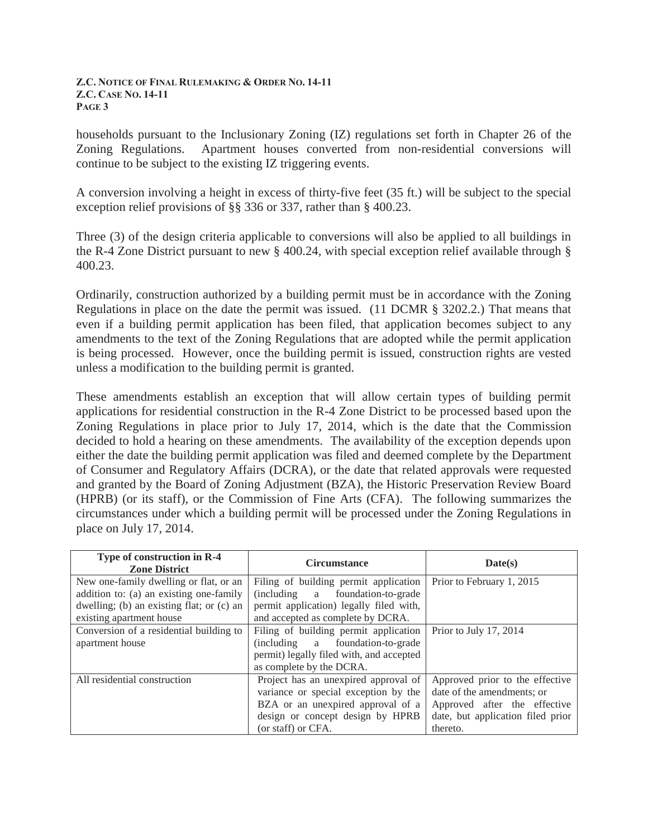households pursuant to the Inclusionary Zoning (IZ) regulations set forth in Chapter 26 of the Zoning Regulations. Apartment houses converted from non-residential conversions will continue to be subject to the existing IZ triggering events.

A conversion involving a height in excess of thirty-five feet (35 ft.) will be subject to the special exception relief provisions of §§ 336 or 337, rather than § 400.23.

Three (3) of the design criteria applicable to conversions will also be applied to all buildings in the R-4 Zone District pursuant to new § 400.24, with special exception relief available through § 400.23.

Ordinarily, construction authorized by a building permit must be in accordance with the Zoning Regulations in place on the date the permit was issued. (11 DCMR § 3202.2.) That means that even if a building permit application has been filed, that application becomes subject to any amendments to the text of the Zoning Regulations that are adopted while the permit application is being processed. However, once the building permit is issued, construction rights are vested unless a modification to the building permit is granted.

These amendments establish an exception that will allow certain types of building permit applications for residential construction in the R-4 Zone District to be processed based upon the Zoning Regulations in place prior to July 17, 2014, which is the date that the Commission decided to hold a hearing on these amendments. The availability of the exception depends upon either the date the building permit application was filed and deemed complete by the Department of Consumer and Regulatory Affairs (DCRA), or the date that related approvals were requested and granted by the Board of Zoning Adjustment (BZA), the Historic Preservation Review Board (HPRB) (or its staff), or the Commission of Fine Arts (CFA). The following summarizes the circumstances under which a building permit will be processed under the Zoning Regulations in place on July 17, 2014.

| Type of construction in R-4<br><b>Zone District</b> | <b>Circumstance</b>                      | Date(s)                           |
|-----------------------------------------------------|------------------------------------------|-----------------------------------|
| New one-family dwelling or flat, or an              | Filing of building permit application    | Prior to February 1, 2015         |
| addition to: (a) an existing one-family             | (including a foundation-to-grade)        |                                   |
| dwelling; (b) an existing flat; or (c) an           | permit application) legally filed with,  |                                   |
| existing apartment house                            | and accepted as complete by DCRA.        |                                   |
| Conversion of a residential building to             | Filing of building permit application    | Prior to July 17, 2014            |
| apartment house                                     | (including a foundation-to-grade)        |                                   |
|                                                     | permit) legally filed with, and accepted |                                   |
|                                                     | as complete by the DCRA.                 |                                   |
| All residential construction                        | Project has an unexpired approval of     | Approved prior to the effective   |
|                                                     | variance or special exception by the     | date of the amendments; or        |
|                                                     | BZA or an unexpired approval of a        | Approved after the effective      |
|                                                     | design or concept design by HPRB         | date, but application filed prior |
|                                                     | (or staff) or CFA.                       | thereto.                          |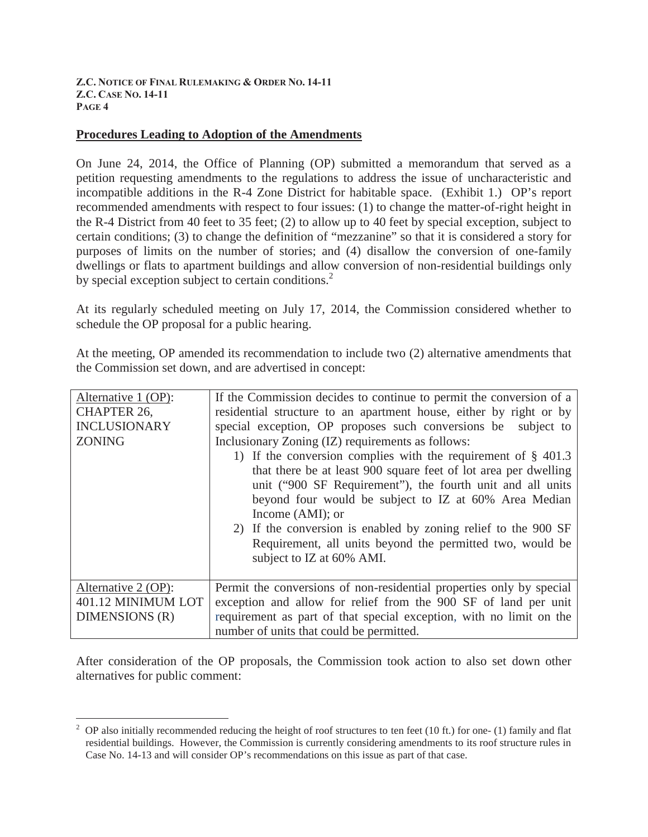### **Procedures Leading to Adoption of the Amendments**

On June 24, 2014, the Office of Planning (OP) submitted a memorandum that served as a petition requesting amendments to the regulations to address the issue of uncharacteristic and incompatible additions in the R-4 Zone District for habitable space. (Exhibit 1.) OP's report recommended amendments with respect to four issues: (1) to change the matter-of-right height in the R-4 District from 40 feet to 35 feet; (2) to allow up to 40 feet by special exception, subject to certain conditions; (3) to change the definition of "mezzanine" so that it is considered a story for purposes of limits on the number of stories; and (4) disallow the conversion of one-family dwellings or flats to apartment buildings and allow conversion of non-residential buildings only by special exception subject to certain conditions.<sup>2</sup>

At its regularly scheduled meeting on July 17, 2014, the Commission considered whether to schedule the OP proposal for a public hearing.

At the meeting, OP amended its recommendation to include two (2) alternative amendments that the Commission set down, and are advertised in concept:

| Alternative 1 (OP):<br><b>CHAPTER 26,</b><br><b>INCLUSIONARY</b><br><b>ZONING</b> | If the Commission decides to continue to permit the conversion of a<br>residential structure to an apartment house, either by right or by<br>special exception, OP proposes such conversions be subject to<br>Inclusionary Zoning (IZ) requirements as follows:<br>1) If the conversion complies with the requirement of $\S$ 401.3<br>that there be at least 900 square feet of lot area per dwelling<br>unit ("900 SF Requirement"), the fourth unit and all units<br>beyond four would be subject to IZ at 60% Area Median<br>Income $(AMI)$ ; or<br>2) If the conversion is enabled by zoning relief to the 900 SF |
|-----------------------------------------------------------------------------------|------------------------------------------------------------------------------------------------------------------------------------------------------------------------------------------------------------------------------------------------------------------------------------------------------------------------------------------------------------------------------------------------------------------------------------------------------------------------------------------------------------------------------------------------------------------------------------------------------------------------|
|                                                                                   | Requirement, all units beyond the permitted two, would be<br>subject to IZ at 60% AMI.                                                                                                                                                                                                                                                                                                                                                                                                                                                                                                                                 |
| Alternative 2 (OP):<br>401.12 MINIMUM LOT<br>DIMENSIONS (R)                       | Permit the conversions of non-residential properties only by special<br>exception and allow for relief from the 900 SF of land per unit<br>requirement as part of that special exception, with no limit on the<br>number of units that could be permitted.                                                                                                                                                                                                                                                                                                                                                             |

After consideration of the OP proposals, the Commission took action to also set down other alternatives for public comment:

 $\overline{a}$ 

<sup>&</sup>lt;sup>2</sup> OP also initially recommended reducing the height of roof structures to ten feet (10 ft.) for one- (1) family and flat residential buildings. However, the Commission is currently considering amendments to its roof structure rules in Case No. 14-13 and will consider OP's recommendations on this issue as part of that case.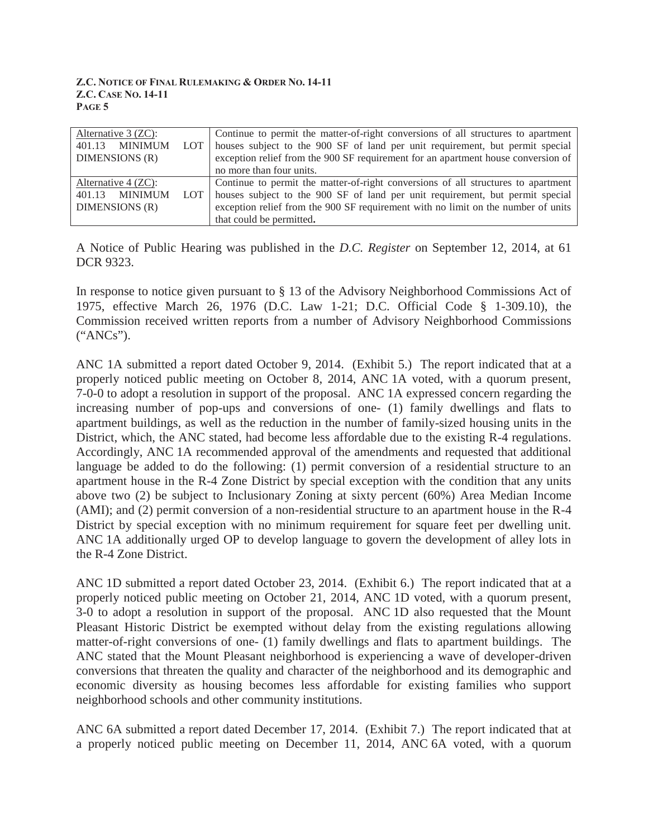| Alternative $3$ (ZC):     | Continue to permit the matter-of-right conversions of all structures to apartment |
|---------------------------|-----------------------------------------------------------------------------------|
| MINIMUM<br>401.13<br>LOT. | houses subject to the 900 SF of land per unit requirement, but permit special     |
| DIMENSIONS (R)            | exception relief from the 900 SF requirement for an apartment house conversion of |
|                           | no more than four units.                                                          |
| Alternative $4$ (ZC):     | Continue to permit the matter-of-right conversions of all structures to apartment |
| MINIMUM<br>401.13<br>LOT. | houses subject to the 900 SF of land per unit requirement, but permit special     |
| DIMENSIONS (R)            | exception relief from the 900 SF requirement with no limit on the number of units |
|                           | that could be permitted.                                                          |

A Notice of Public Hearing was published in the *D.C. Register* on September 12, 2014, at 61 DCR 9323.

In response to notice given pursuant to § 13 of the Advisory Neighborhood Commissions Act of 1975, effective March 26, 1976 (D.C. Law 1-21; D.C. Official Code § 1-309.10), the Commission received written reports from a number of Advisory Neighborhood Commissions ("ANCs").

ANC 1A submitted a report dated October 9, 2014. (Exhibit 5.) The report indicated that at a properly noticed public meeting on October 8, 2014, ANC 1A voted, with a quorum present, 7-0-0 to adopt a resolution in support of the proposal. ANC 1A expressed concern regarding the increasing number of pop-ups and conversions of one- (1) family dwellings and flats to apartment buildings, as well as the reduction in the number of family-sized housing units in the District, which, the ANC stated, had become less affordable due to the existing R-4 regulations. Accordingly, ANC 1A recommended approval of the amendments and requested that additional language be added to do the following: (1) permit conversion of a residential structure to an apartment house in the R-4 Zone District by special exception with the condition that any units above two (2) be subject to Inclusionary Zoning at sixty percent (60%) Area Median Income (AMI); and (2) permit conversion of a non-residential structure to an apartment house in the R-4 District by special exception with no minimum requirement for square feet per dwelling unit. ANC 1A additionally urged OP to develop language to govern the development of alley lots in the R-4 Zone District.

ANC 1D submitted a report dated October 23, 2014. (Exhibit 6.) The report indicated that at a properly noticed public meeting on October 21, 2014, ANC 1D voted, with a quorum present, 3-0 to adopt a resolution in support of the proposal. ANC 1D also requested that the Mount Pleasant Historic District be exempted without delay from the existing regulations allowing matter-of-right conversions of one- (1) family dwellings and flats to apartment buildings. The ANC stated that the Mount Pleasant neighborhood is experiencing a wave of developer-driven conversions that threaten the quality and character of the neighborhood and its demographic and economic diversity as housing becomes less affordable for existing families who support neighborhood schools and other community institutions.

ANC 6A submitted a report dated December 17, 2014. (Exhibit 7.) The report indicated that at a properly noticed public meeting on December 11, 2014, ANC 6A voted, with a quorum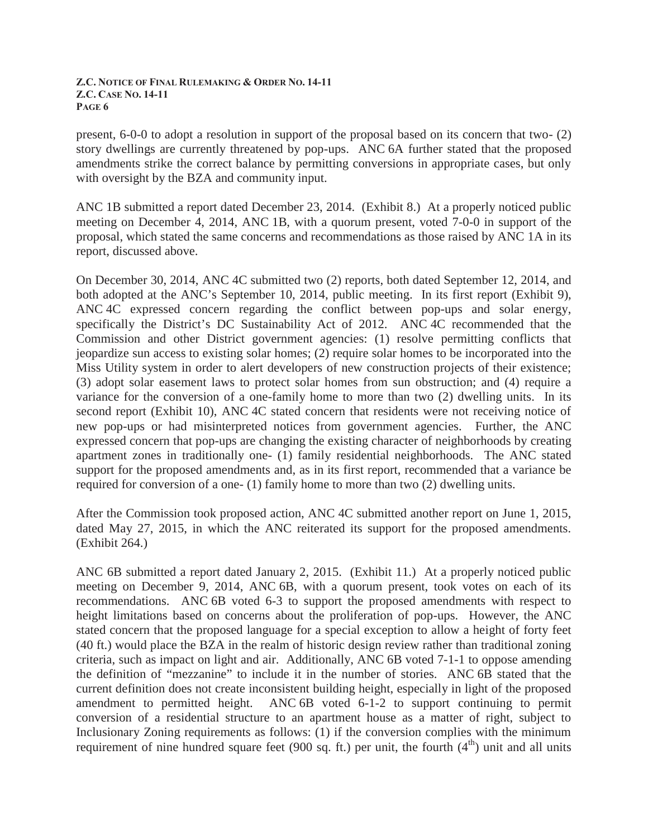present, 6-0-0 to adopt a resolution in support of the proposal based on its concern that two- (2) story dwellings are currently threatened by pop-ups. ANC 6A further stated that the proposed amendments strike the correct balance by permitting conversions in appropriate cases, but only with oversight by the BZA and community input.

ANC 1B submitted a report dated December 23, 2014. (Exhibit 8.) At a properly noticed public meeting on December 4, 2014, ANC 1B, with a quorum present, voted 7-0-0 in support of the proposal, which stated the same concerns and recommendations as those raised by ANC 1A in its report, discussed above.

On December 30, 2014, ANC 4C submitted two (2) reports, both dated September 12, 2014, and both adopted at the ANC's September 10, 2014, public meeting. In its first report (Exhibit 9), ANC 4C expressed concern regarding the conflict between pop-ups and solar energy, specifically the District's DC Sustainability Act of 2012. ANC 4C recommended that the Commission and other District government agencies: (1) resolve permitting conflicts that jeopardize sun access to existing solar homes; (2) require solar homes to be incorporated into the Miss Utility system in order to alert developers of new construction projects of their existence; (3) adopt solar easement laws to protect solar homes from sun obstruction; and (4) require a variance for the conversion of a one-family home to more than two (2) dwelling units. In its second report (Exhibit 10), ANC 4C stated concern that residents were not receiving notice of new pop-ups or had misinterpreted notices from government agencies. Further, the ANC expressed concern that pop-ups are changing the existing character of neighborhoods by creating apartment zones in traditionally one- (1) family residential neighborhoods. The ANC stated support for the proposed amendments and, as in its first report, recommended that a variance be required for conversion of a one- (1) family home to more than two (2) dwelling units.

After the Commission took proposed action, ANC 4C submitted another report on June 1, 2015, dated May 27, 2015, in which the ANC reiterated its support for the proposed amendments. (Exhibit 264.)

ANC 6B submitted a report dated January 2, 2015. (Exhibit 11.) At a properly noticed public meeting on December 9, 2014, ANC 6B, with a quorum present, took votes on each of its recommendations. ANC 6B voted 6-3 to support the proposed amendments with respect to height limitations based on concerns about the proliferation of pop-ups. However, the ANC stated concern that the proposed language for a special exception to allow a height of forty feet (40 ft.) would place the BZA in the realm of historic design review rather than traditional zoning criteria, such as impact on light and air. Additionally, ANC 6B voted 7-1-1 to oppose amending the definition of "mezzanine" to include it in the number of stories. ANC 6B stated that the current definition does not create inconsistent building height, especially in light of the proposed amendment to permitted height. ANC 6B voted 6-1-2 to support continuing to permit conversion of a residential structure to an apartment house as a matter of right, subject to Inclusionary Zoning requirements as follows: (1) if the conversion complies with the minimum requirement of nine hundred square feet (900 sq. ft.) per unit, the fourth  $(4<sup>th</sup>)$  unit and all units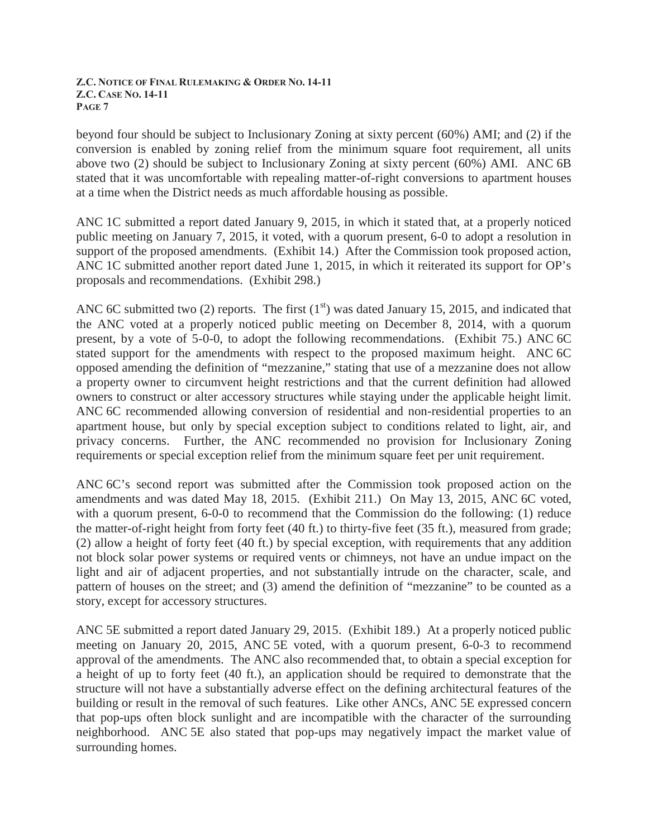beyond four should be subject to Inclusionary Zoning at sixty percent (60%) AMI; and (2) if the conversion is enabled by zoning relief from the minimum square foot requirement, all units above two (2) should be subject to Inclusionary Zoning at sixty percent (60%) AMI. ANC 6B stated that it was uncomfortable with repealing matter-of-right conversions to apartment houses at a time when the District needs as much affordable housing as possible.

ANC 1C submitted a report dated January 9, 2015, in which it stated that, at a properly noticed public meeting on January 7, 2015, it voted, with a quorum present, 6-0 to adopt a resolution in support of the proposed amendments. (Exhibit 14.) After the Commission took proposed action, ANC 1C submitted another report dated June 1, 2015, in which it reiterated its support for OP's proposals and recommendations. (Exhibit 298.)

ANC 6C submitted two (2) reports. The first  $(1<sup>st</sup>)$  was dated January 15, 2015, and indicated that the ANC voted at a properly noticed public meeting on December 8, 2014, with a quorum present, by a vote of 5-0-0, to adopt the following recommendations. (Exhibit 75.) ANC 6C stated support for the amendments with respect to the proposed maximum height. ANC 6C opposed amending the definition of "mezzanine," stating that use of a mezzanine does not allow a property owner to circumvent height restrictions and that the current definition had allowed owners to construct or alter accessory structures while staying under the applicable height limit. ANC 6C recommended allowing conversion of residential and non-residential properties to an apartment house, but only by special exception subject to conditions related to light, air, and privacy concerns. Further, the ANC recommended no provision for Inclusionary Zoning requirements or special exception relief from the minimum square feet per unit requirement.

ANC 6C's second report was submitted after the Commission took proposed action on the amendments and was dated May 18, 2015. (Exhibit 211.) On May 13, 2015, ANC 6C voted, with a quorum present, 6-0-0 to recommend that the Commission do the following: (1) reduce the matter-of-right height from forty feet (40 ft.) to thirty-five feet (35 ft.), measured from grade; (2) allow a height of forty feet (40 ft.) by special exception, with requirements that any addition not block solar power systems or required vents or chimneys, not have an undue impact on the light and air of adjacent properties, and not substantially intrude on the character, scale, and pattern of houses on the street; and (3) amend the definition of "mezzanine" to be counted as a story, except for accessory structures.

ANC 5E submitted a report dated January 29, 2015. (Exhibit 189.) At a properly noticed public meeting on January 20, 2015, ANC 5E voted, with a quorum present, 6-0-3 to recommend approval of the amendments. The ANC also recommended that, to obtain a special exception for a height of up to forty feet (40 ft.), an application should be required to demonstrate that the structure will not have a substantially adverse effect on the defining architectural features of the building or result in the removal of such features. Like other ANCs, ANC 5E expressed concern that pop-ups often block sunlight and are incompatible with the character of the surrounding neighborhood. ANC 5E also stated that pop-ups may negatively impact the market value of surrounding homes.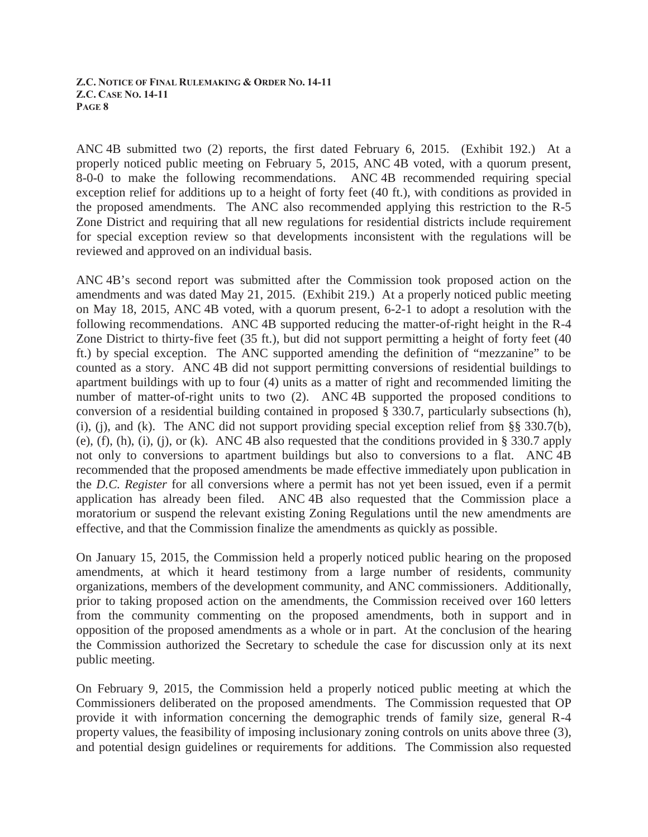ANC 4B submitted two (2) reports, the first dated February 6, 2015. (Exhibit 192.) At a properly noticed public meeting on February 5, 2015, ANC 4B voted, with a quorum present, 8-0-0 to make the following recommendations. ANC 4B recommended requiring special exception relief for additions up to a height of forty feet (40 ft.), with conditions as provided in the proposed amendments. The ANC also recommended applying this restriction to the R-5 Zone District and requiring that all new regulations for residential districts include requirement for special exception review so that developments inconsistent with the regulations will be reviewed and approved on an individual basis.

ANC 4B's second report was submitted after the Commission took proposed action on the amendments and was dated May 21, 2015. (Exhibit 219.) At a properly noticed public meeting on May 18, 2015, ANC 4B voted, with a quorum present, 6-2-1 to adopt a resolution with the following recommendations. ANC 4B supported reducing the matter-of-right height in the R-4 Zone District to thirty-five feet (35 ft.), but did not support permitting a height of forty feet (40 ft.) by special exception. The ANC supported amending the definition of "mezzanine" to be counted as a story. ANC 4B did not support permitting conversions of residential buildings to apartment buildings with up to four (4) units as a matter of right and recommended limiting the number of matter-of-right units to two (2). ANC 4B supported the proposed conditions to conversion of a residential building contained in proposed § 330.7, particularly subsections (h), (i), (j), and (k). The ANC did not support providing special exception relief from  $\S$ § 330.7(b), (e), (f), (h), (i), (j), or (k). ANC 4B also requested that the conditions provided in § 330.7 apply not only to conversions to apartment buildings but also to conversions to a flat. ANC 4B recommended that the proposed amendments be made effective immediately upon publication in the *D.C. Register* for all conversions where a permit has not yet been issued, even if a permit application has already been filed. ANC 4B also requested that the Commission place a moratorium or suspend the relevant existing Zoning Regulations until the new amendments are effective, and that the Commission finalize the amendments as quickly as possible.

On January 15, 2015, the Commission held a properly noticed public hearing on the proposed amendments, at which it heard testimony from a large number of residents, community organizations, members of the development community, and ANC commissioners. Additionally, prior to taking proposed action on the amendments, the Commission received over 160 letters from the community commenting on the proposed amendments, both in support and in opposition of the proposed amendments as a whole or in part. At the conclusion of the hearing the Commission authorized the Secretary to schedule the case for discussion only at its next public meeting.

On February 9, 2015, the Commission held a properly noticed public meeting at which the Commissioners deliberated on the proposed amendments. The Commission requested that OP provide it with information concerning the demographic trends of family size, general R-4 property values, the feasibility of imposing inclusionary zoning controls on units above three (3), and potential design guidelines or requirements for additions. The Commission also requested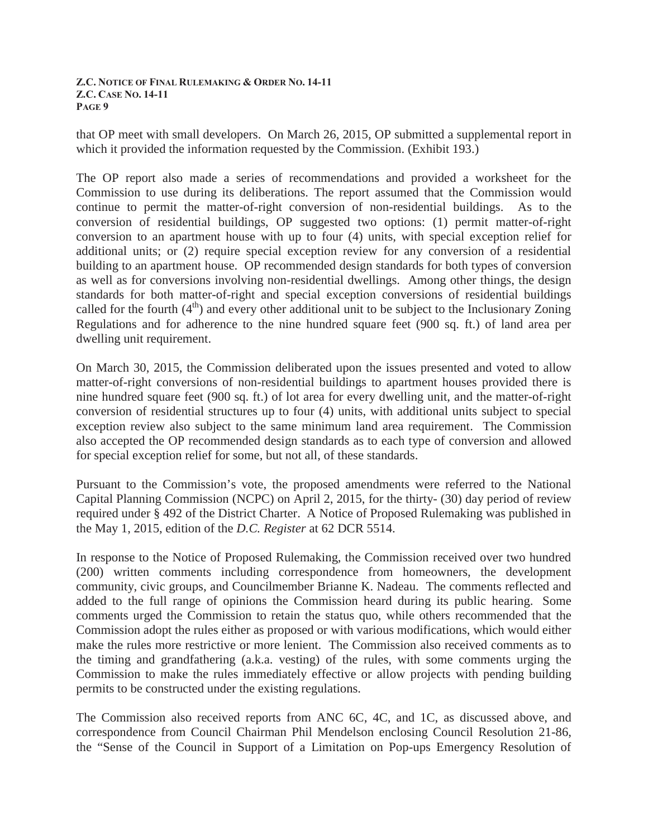that OP meet with small developers. On March 26, 2015, OP submitted a supplemental report in which it provided the information requested by the Commission. (Exhibit 193.)

The OP report also made a series of recommendations and provided a worksheet for the Commission to use during its deliberations. The report assumed that the Commission would continue to permit the matter-of-right conversion of non-residential buildings. As to the conversion of residential buildings, OP suggested two options: (1) permit matter-of-right conversion to an apartment house with up to four (4) units, with special exception relief for additional units; or (2) require special exception review for any conversion of a residential building to an apartment house. OP recommended design standards for both types of conversion as well as for conversions involving non-residential dwellings. Among other things, the design standards for both matter-of-right and special exception conversions of residential buildings called for the fourth  $(4<sup>th</sup>)$  and every other additional unit to be subject to the Inclusionary Zoning Regulations and for adherence to the nine hundred square feet (900 sq. ft.) of land area per dwelling unit requirement.

On March 30, 2015, the Commission deliberated upon the issues presented and voted to allow matter-of-right conversions of non-residential buildings to apartment houses provided there is nine hundred square feet (900 sq. ft.) of lot area for every dwelling unit, and the matter-of-right conversion of residential structures up to four (4) units, with additional units subject to special exception review also subject to the same minimum land area requirement. The Commission also accepted the OP recommended design standards as to each type of conversion and allowed for special exception relief for some, but not all, of these standards.

Pursuant to the Commission's vote, the proposed amendments were referred to the National Capital Planning Commission (NCPC) on April 2, 2015, for the thirty- (30) day period of review required under § 492 of the District Charter. A Notice of Proposed Rulemaking was published in the May 1, 2015, edition of the *D.C. Register* at 62 DCR 5514.

In response to the Notice of Proposed Rulemaking, the Commission received over two hundred (200) written comments including correspondence from homeowners, the development community, civic groups, and Councilmember Brianne K. Nadeau. The comments reflected and added to the full range of opinions the Commission heard during its public hearing. Some comments urged the Commission to retain the status quo, while others recommended that the Commission adopt the rules either as proposed or with various modifications, which would either make the rules more restrictive or more lenient. The Commission also received comments as to the timing and grandfathering (a.k.a. vesting) of the rules, with some comments urging the Commission to make the rules immediately effective or allow projects with pending building permits to be constructed under the existing regulations.

The Commission also received reports from ANC 6C, 4C, and 1C, as discussed above, and correspondence from Council Chairman Phil Mendelson enclosing Council Resolution 21-86, the "Sense of the Council in Support of a Limitation on Pop-ups Emergency Resolution of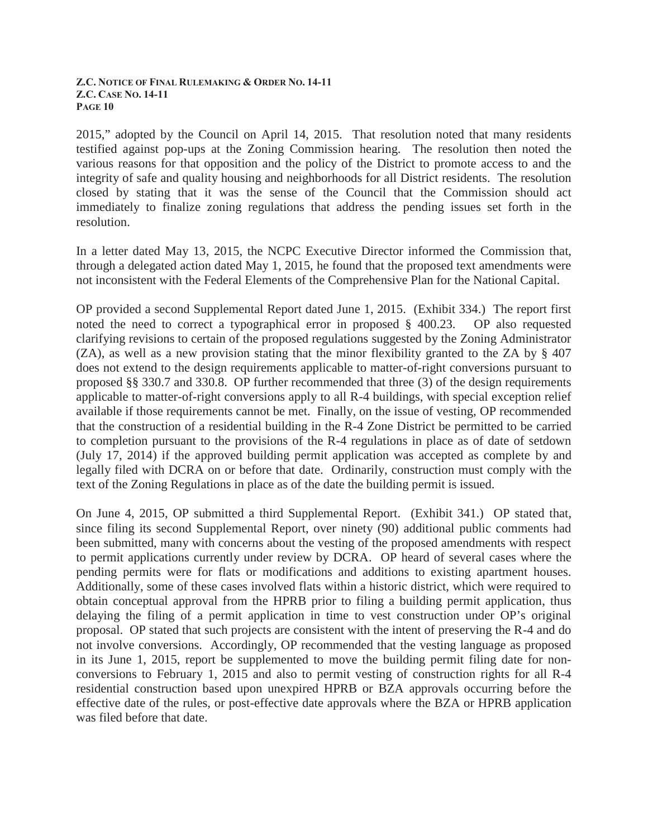2015," adopted by the Council on April 14, 2015. That resolution noted that many residents testified against pop-ups at the Zoning Commission hearing. The resolution then noted the various reasons for that opposition and the policy of the District to promote access to and the integrity of safe and quality housing and neighborhoods for all District residents. The resolution closed by stating that it was the sense of the Council that the Commission should act immediately to finalize zoning regulations that address the pending issues set forth in the resolution.

In a letter dated May 13, 2015, the NCPC Executive Director informed the Commission that, through a delegated action dated May 1, 2015, he found that the proposed text amendments were not inconsistent with the Federal Elements of the Comprehensive Plan for the National Capital.

OP provided a second Supplemental Report dated June 1, 2015. (Exhibit 334.) The report first noted the need to correct a typographical error in proposed § 400.23. OP also requested clarifying revisions to certain of the proposed regulations suggested by the Zoning Administrator (ZA), as well as a new provision stating that the minor flexibility granted to the ZA by § 407 does not extend to the design requirements applicable to matter-of-right conversions pursuant to proposed §§ 330.7 and 330.8. OP further recommended that three (3) of the design requirements applicable to matter-of-right conversions apply to all R-4 buildings, with special exception relief available if those requirements cannot be met. Finally, on the issue of vesting, OP recommended that the construction of a residential building in the R-4 Zone District be permitted to be carried to completion pursuant to the provisions of the R-4 regulations in place as of date of setdown (July 17, 2014) if the approved building permit application was accepted as complete by and legally filed with DCRA on or before that date. Ordinarily, construction must comply with the text of the Zoning Regulations in place as of the date the building permit is issued.

On June 4, 2015, OP submitted a third Supplemental Report. (Exhibit 341.) OP stated that, since filing its second Supplemental Report, over ninety (90) additional public comments had been submitted, many with concerns about the vesting of the proposed amendments with respect to permit applications currently under review by DCRA. OP heard of several cases where the pending permits were for flats or modifications and additions to existing apartment houses. Additionally, some of these cases involved flats within a historic district, which were required to obtain conceptual approval from the HPRB prior to filing a building permit application, thus delaying the filing of a permit application in time to vest construction under OP's original proposal. OP stated that such projects are consistent with the intent of preserving the R-4 and do not involve conversions. Accordingly, OP recommended that the vesting language as proposed in its June 1, 2015, report be supplemented to move the building permit filing date for nonconversions to February 1, 2015 and also to permit vesting of construction rights for all R-4 residential construction based upon unexpired HPRB or BZA approvals occurring before the effective date of the rules, or post-effective date approvals where the BZA or HPRB application was filed before that date.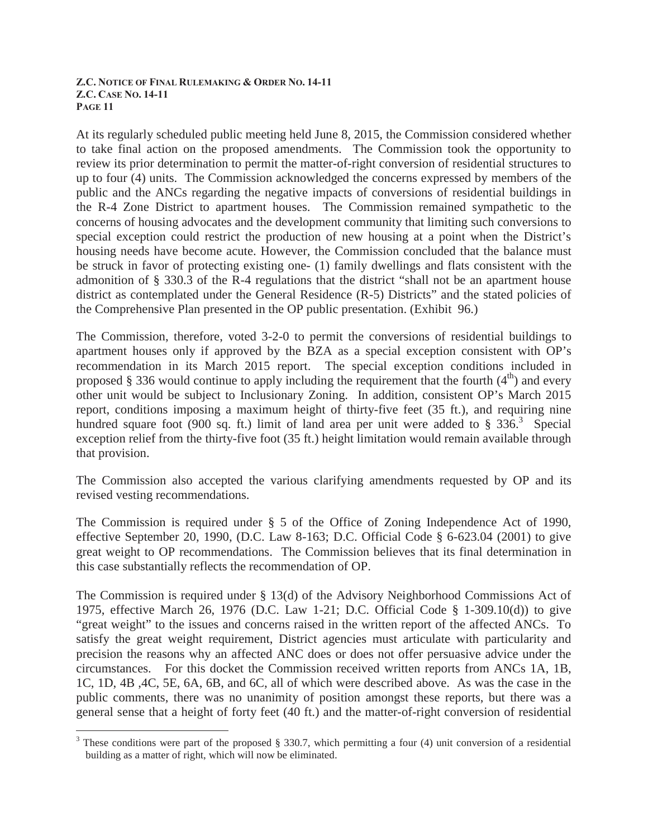At its regularly scheduled public meeting held June 8, 2015, the Commission considered whether to take final action on the proposed amendments. The Commission took the opportunity to review its prior determination to permit the matter-of-right conversion of residential structures to up to four (4) units. The Commission acknowledged the concerns expressed by members of the public and the ANCs regarding the negative impacts of conversions of residential buildings in the R-4 Zone District to apartment houses. The Commission remained sympathetic to the concerns of housing advocates and the development community that limiting such conversions to special exception could restrict the production of new housing at a point when the District's housing needs have become acute. However, the Commission concluded that the balance must be struck in favor of protecting existing one- (1) family dwellings and flats consistent with the admonition of § 330.3 of the R-4 regulations that the district "shall not be an apartment house district as contemplated under the General Residence (R-5) Districts" and the stated policies of the Comprehensive Plan presented in the OP public presentation. (Exhibit 96.)

The Commission, therefore, voted 3-2-0 to permit the conversions of residential buildings to apartment houses only if approved by the BZA as a special exception consistent with OP's recommendation in its March 2015 report. The special exception conditions included in proposed § 336 would continue to apply including the requirement that the fourth  $(4<sup>th</sup>)$  and every other unit would be subject to Inclusionary Zoning. In addition, consistent OP's March 2015 report, conditions imposing a maximum height of thirty-five feet (35 ft.), and requiring nine hundred square foot (900 sq. ft.) limit of land area per unit were added to  $\S 336$ <sup>3</sup>. Special exception relief from the thirty-five foot (35 ft.) height limitation would remain available through that provision.

The Commission also accepted the various clarifying amendments requested by OP and its revised vesting recommendations.

The Commission is required under § 5 of the Office of Zoning Independence Act of 1990, effective September 20, 1990, (D.C. Law 8-163; D.C. Official Code § 6-623.04 (2001) to give great weight to OP recommendations. The Commission believes that its final determination in this case substantially reflects the recommendation of OP.

The Commission is required under § 13(d) of the Advisory Neighborhood Commissions Act of 1975, effective March 26, 1976 (D.C. Law 1-21; D.C. Official Code § 1-309.10(d)) to give "great weight" to the issues and concerns raised in the written report of the affected ANCs. To satisfy the great weight requirement, District agencies must articulate with particularity and precision the reasons why an affected ANC does or does not offer persuasive advice under the circumstances. For this docket the Commission received written reports from ANCs 1A, 1B, 1C, 1D, 4B ,4C, 5E, 6A, 6B, and 6C, all of which were described above. As was the case in the public comments, there was no unanimity of position amongst these reports, but there was a general sense that a height of forty feet (40 ft.) and the matter-of-right conversion of residential

 $\overline{a}$ 

 $3$  These conditions were part of the proposed § 330.7, which permitting a four (4) unit conversion of a residential building as a matter of right, which will now be eliminated.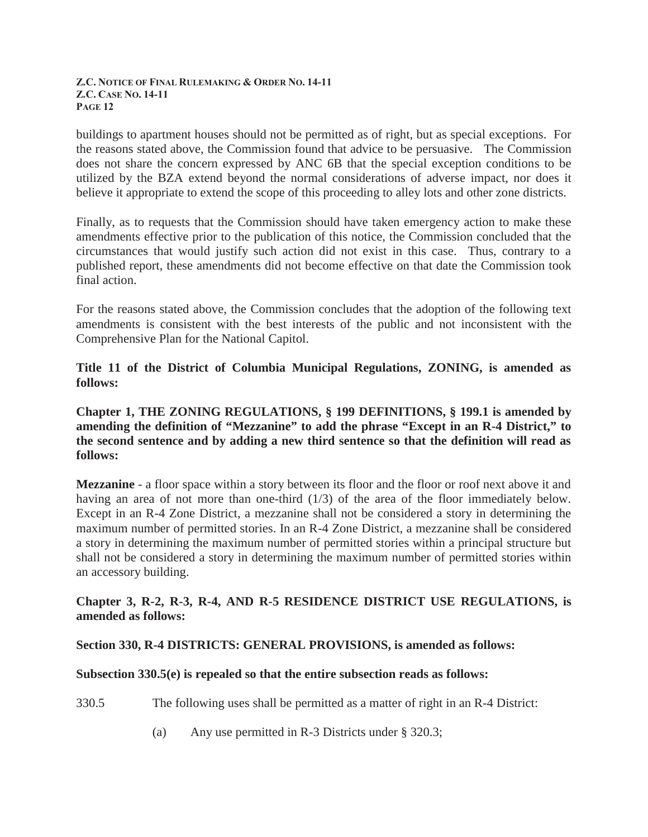buildings to apartment houses should not be permitted as of right, but as special exceptions. For the reasons stated above, the Commission found that advice to be persuasive. The Commission does not share the concern expressed by ANC 6B that the special exception conditions to be utilized by the BZA extend beyond the normal considerations of adverse impact, nor does it believe it appropriate to extend the scope of this proceeding to alley lots and other zone districts.

Finally, as to requests that the Commission should have taken emergency action to make these amendments effective prior to the publication of this notice, the Commission concluded that the circumstances that would justify such action did not exist in this case. Thus, contrary to a published report, these amendments did not become effective on that date the Commission took final action.

For the reasons stated above, the Commission concludes that the adoption of the following text amendments is consistent with the best interests of the public and not inconsistent with the Comprehensive Plan for the National Capitol.

**Title 11 of the District of Columbia Municipal Regulations, ZONING, is amended as follows:** 

**Chapter 1, THE ZONING REGULATIONS, § 199 DEFINITIONS, § 199.1 is amended by amending the definition of "Mezzanine" to add the phrase "Except in an R-4 District," to the second sentence and by adding a new third sentence so that the definition will read as follows:** 

**Mezzanine** - a floor space within a story between its floor and the floor or roof next above it and having an area of not more than one-third (1/3) of the area of the floor immediately below. Except in an R-4 Zone District, a mezzanine shall not be considered a story in determining the maximum number of permitted stories. In an R-4 Zone District, a mezzanine shall be considered a story in determining the maximum number of permitted stories within a principal structure but shall not be considered a story in determining the maximum number of permitted stories within an accessory building.

## **Chapter 3, R-2, R-3, R-4, AND R-5 RESIDENCE DISTRICT USE REGULATIONS, is amended as follows:**

### **Section 330, R-4 DISTRICTS: GENERAL PROVISIONS, is amended as follows:**

### **Subsection 330.5(e) is repealed so that the entire subsection reads as follows:**

330.5 The following uses shall be permitted as a matter of right in an R-4 District:

(a) Any use permitted in R-3 Districts under § 320.3;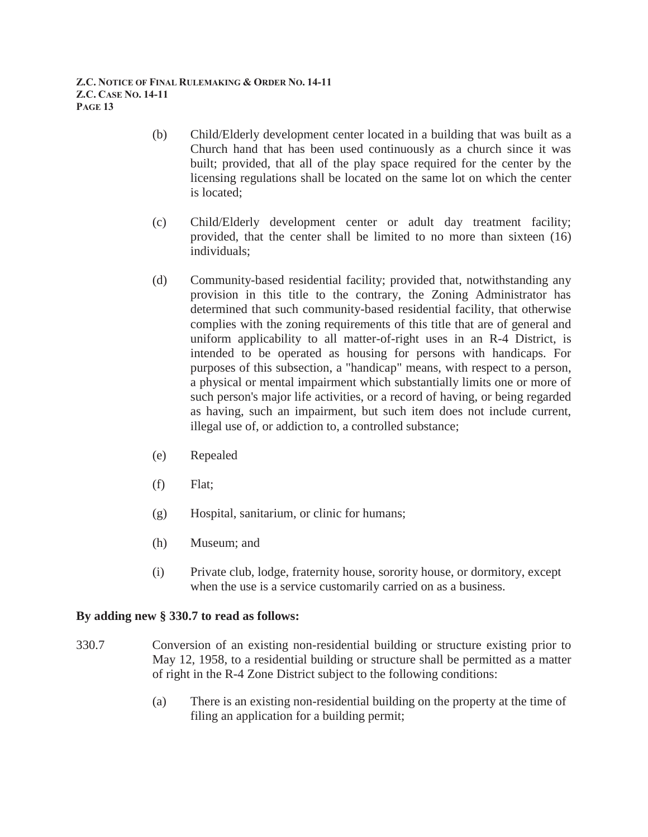- (b) Child/Elderly development center located in a building that was built as a Church hand that has been used continuously as a church since it was built; provided, that all of the play space required for the center by the licensing regulations shall be located on the same lot on which the center is located;
- (c) Child/Elderly development center or adult day treatment facility; provided, that the center shall be limited to no more than sixteen (16) individuals;
- (d) Community-based residential facility; provided that, notwithstanding any provision in this title to the contrary, the Zoning Administrator has determined that such community-based residential facility, that otherwise complies with the zoning requirements of this title that are of general and uniform applicability to all matter-of-right uses in an R-4 District, is intended to be operated as housing for persons with handicaps. For purposes of this subsection, a "handicap" means, with respect to a person, a physical or mental impairment which substantially limits one or more of such person's major life activities, or a record of having, or being regarded as having, such an impairment, but such item does not include current, illegal use of, or addiction to, a controlled substance;
- (e) Repealed
- (f) Flat;
- (g) Hospital, sanitarium, or clinic for humans;
- (h) Museum; and
- (i) Private club, lodge, fraternity house, sorority house, or dormitory, except when the use is a service customarily carried on as a business.

### **By adding new § 330.7 to read as follows:**

- 330.7 Conversion of an existing non-residential building or structure existing prior to May 12, 1958, to a residential building or structure shall be permitted as a matter of right in the R-4 Zone District subject to the following conditions:
	- (a) There is an existing non-residential building on the property at the time of filing an application for a building permit;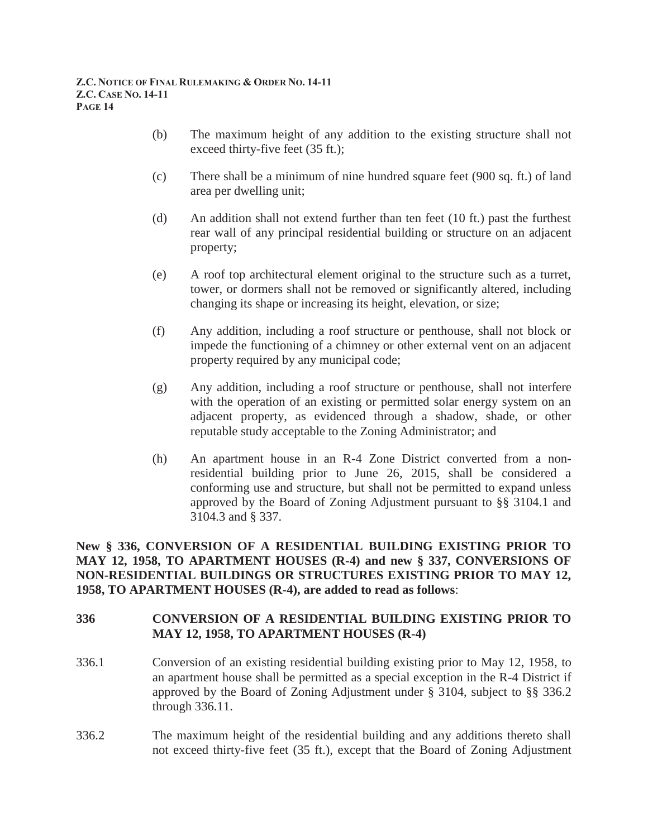- (b) The maximum height of any addition to the existing structure shall not exceed thirty-five feet (35 ft.);
- (c) There shall be a minimum of nine hundred square feet (900 sq. ft.) of land area per dwelling unit;
- (d) An addition shall not extend further than ten feet (10 ft.) past the furthest rear wall of any principal residential building or structure on an adjacent property;
- (e) A roof top architectural element original to the structure such as a turret, tower, or dormers shall not be removed or significantly altered, including changing its shape or increasing its height, elevation, or size;
- (f) Any addition, including a roof structure or penthouse, shall not block or impede the functioning of a chimney or other external vent on an adjacent property required by any municipal code;
- (g) Any addition, including a roof structure or penthouse, shall not interfere with the operation of an existing or permitted solar energy system on an adjacent property, as evidenced through a shadow, shade, or other reputable study acceptable to the Zoning Administrator; and
- (h) An apartment house in an R-4 Zone District converted from a nonresidential building prior to June 26, 2015, shall be considered a conforming use and structure, but shall not be permitted to expand unless approved by the Board of Zoning Adjustment pursuant to §§ 3104.1 and 3104.3 and § 337.

**New § 336, CONVERSION OF A RESIDENTIAL BUILDING EXISTING PRIOR TO MAY 12, 1958, TO APARTMENT HOUSES (R-4) and new § 337, CONVERSIONS OF NON-RESIDENTIAL BUILDINGS OR STRUCTURES EXISTING PRIOR TO MAY 12, 1958, TO APARTMENT HOUSES (R-4), are added to read as follows**:

# **336 CONVERSION OF A RESIDENTIAL BUILDING EXISTING PRIOR TO MAY 12, 1958, TO APARTMENT HOUSES (R-4)**

- 336.1 Conversion of an existing residential building existing prior to May 12, 1958, to an apartment house shall be permitted as a special exception in the R-4 District if approved by the Board of Zoning Adjustment under § 3104, subject to §§ 336.2 through 336.11.
- 336.2 The maximum height of the residential building and any additions thereto shall not exceed thirty-five feet (35 ft.), except that the Board of Zoning Adjustment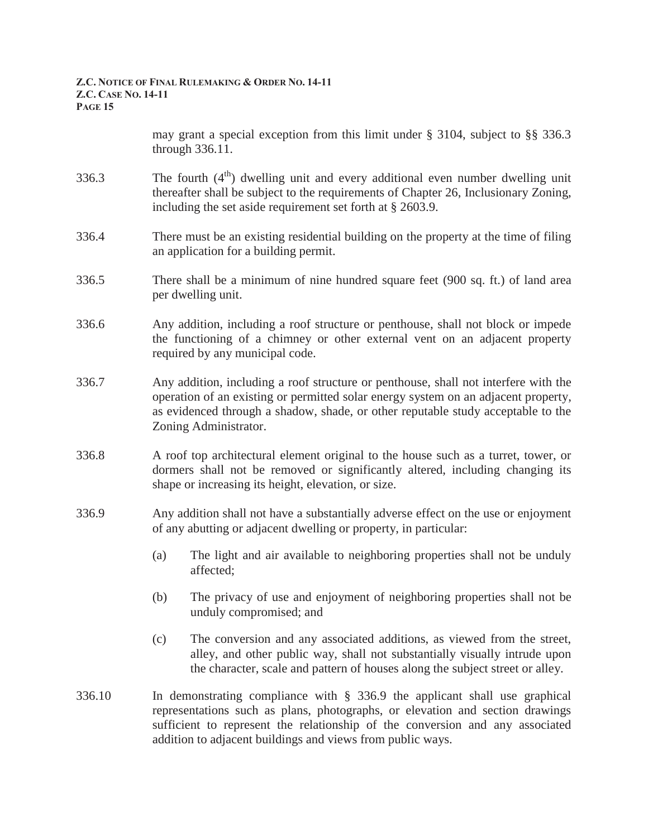may grant a special exception from this limit under § 3104, subject to §§ 336.3 through 336.11.

- 336.3 The fourth  $(4<sup>th</sup>)$  dwelling unit and every additional even number dwelling unit thereafter shall be subject to the requirements of Chapter 26, Inclusionary Zoning, including the set aside requirement set forth at § 2603.9.
- 336.4 There must be an existing residential building on the property at the time of filing an application for a building permit.
- 336.5 There shall be a minimum of nine hundred square feet (900 sq. ft.) of land area per dwelling unit.
- 336.6 Any addition, including a roof structure or penthouse, shall not block or impede the functioning of a chimney or other external vent on an adjacent property required by any municipal code.
- 336.7 Any addition, including a roof structure or penthouse, shall not interfere with the operation of an existing or permitted solar energy system on an adjacent property, as evidenced through a shadow, shade, or other reputable study acceptable to the Zoning Administrator.
- 336.8 A roof top architectural element original to the house such as a turret, tower, or dormers shall not be removed or significantly altered, including changing its shape or increasing its height, elevation, or size.
- 336.9 Any addition shall not have a substantially adverse effect on the use or enjoyment of any abutting or adjacent dwelling or property, in particular:
	- (a) The light and air available to neighboring properties shall not be unduly affected;
	- (b) The privacy of use and enjoyment of neighboring properties shall not be unduly compromised; and
	- (c) The conversion and any associated additions, as viewed from the street, alley, and other public way, shall not substantially visually intrude upon the character, scale and pattern of houses along the subject street or alley.
- 336.10 In demonstrating compliance with § 336.9 the applicant shall use graphical representations such as plans, photographs, or elevation and section drawings sufficient to represent the relationship of the conversion and any associated addition to adjacent buildings and views from public ways.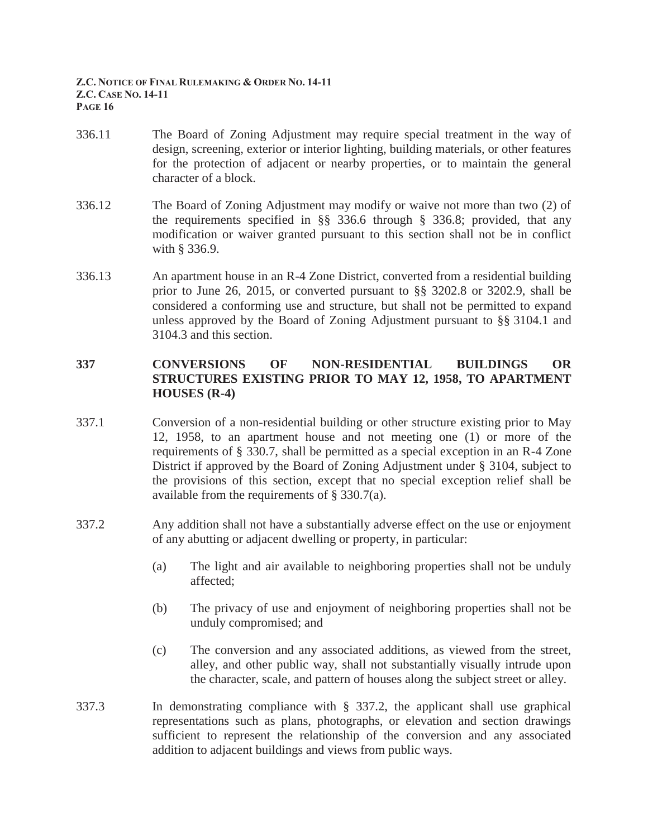- 336.11 The Board of Zoning Adjustment may require special treatment in the way of design, screening, exterior or interior lighting, building materials, or other features for the protection of adjacent or nearby properties, or to maintain the general character of a block.
- 336.12 The Board of Zoning Adjustment may modify or waive not more than two (2) of the requirements specified in §§ 336.6 through § 336.8; provided, that any modification or waiver granted pursuant to this section shall not be in conflict with § 336.9.
- 336.13 An apartment house in an R-4 Zone District, converted from a residential building prior to June 26, 2015, or converted pursuant to §§ 3202.8 or 3202.9, shall be considered a conforming use and structure, but shall not be permitted to expand unless approved by the Board of Zoning Adjustment pursuant to §§ 3104.1 and 3104.3 and this section.

# **337 CONVERSIONS OF NON-RESIDENTIAL BUILDINGS OR STRUCTURES EXISTING PRIOR TO MAY 12, 1958, TO APARTMENT HOUSES (R-4)**

- 337.1 Conversion of a non-residential building or other structure existing prior to May 12, 1958, to an apartment house and not meeting one (1) or more of the requirements of § 330.7, shall be permitted as a special exception in an R-4 Zone District if approved by the Board of Zoning Adjustment under § 3104, subject to the provisions of this section, except that no special exception relief shall be available from the requirements of § 330.7(a).
- 337.2 Any addition shall not have a substantially adverse effect on the use or enjoyment of any abutting or adjacent dwelling or property, in particular:
	- (a) The light and air available to neighboring properties shall not be unduly affected;
	- (b) The privacy of use and enjoyment of neighboring properties shall not be unduly compromised; and
	- (c) The conversion and any associated additions, as viewed from the street, alley, and other public way, shall not substantially visually intrude upon the character, scale, and pattern of houses along the subject street or alley.
- 337.3 In demonstrating compliance with § 337.2, the applicant shall use graphical representations such as plans, photographs, or elevation and section drawings sufficient to represent the relationship of the conversion and any associated addition to adjacent buildings and views from public ways.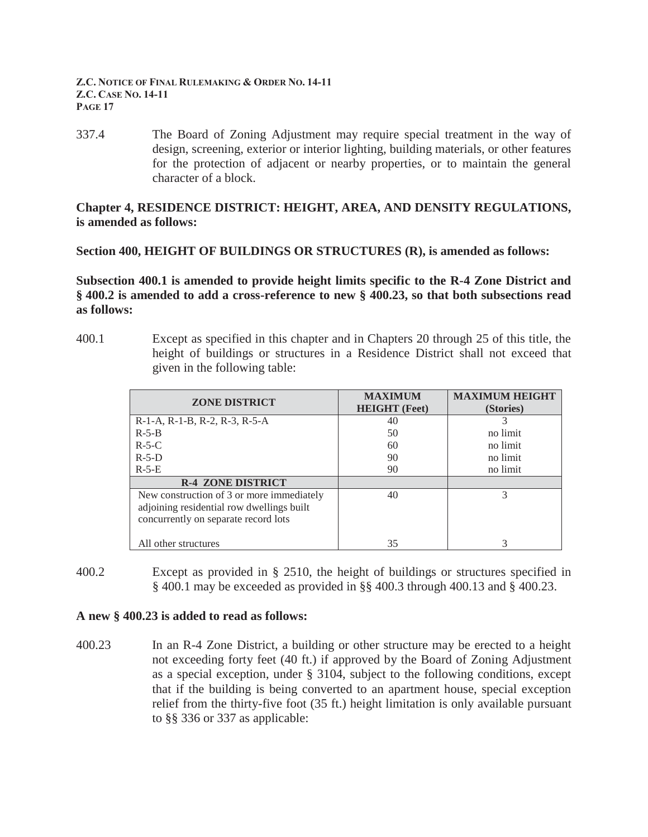337.4 The Board of Zoning Adjustment may require special treatment in the way of design, screening, exterior or interior lighting, building materials, or other features for the protection of adjacent or nearby properties, or to maintain the general character of a block.

## **Chapter 4, RESIDENCE DISTRICT: HEIGHT, AREA, AND DENSITY REGULATIONS, is amended as follows:**

**Section 400, HEIGHT OF BUILDINGS OR STRUCTURES (R), is amended as follows:** 

**Subsection 400.1 is amended to provide height limits specific to the R-4 Zone District and § 400.2 is amended to add a cross-reference to new § 400.23, so that both subsections read as follows:** 

400.1 Except as specified in this chapter and in Chapters 20 through 25 of this title, the height of buildings or structures in a Residence District shall not exceed that given in the following table:

| <b>ZONE DISTRICT</b>                                                                                                           | <b>MAXIMUM</b><br><b>HEIGHT</b> (Feet) | <b>MAXIMUM HEIGHT</b><br>(Stories) |
|--------------------------------------------------------------------------------------------------------------------------------|----------------------------------------|------------------------------------|
| $R-1-A$ , $R-1-B$ , $R-2$ , $R-3$ , $R-5-A$                                                                                    | 40                                     |                                    |
| $R-5-B$                                                                                                                        | 50                                     | no limit                           |
| $R-5-C$                                                                                                                        | 60                                     | no limit                           |
| $R-5-D$                                                                                                                        | 90                                     | no limit                           |
| $R-5-E$                                                                                                                        | 90                                     | no limit                           |
| <b>R-4 ZONE DISTRICT</b>                                                                                                       |                                        |                                    |
| New construction of 3 or more immediately<br>adjoining residential row dwellings built<br>concurrently on separate record lots | 40                                     |                                    |
| All other structures                                                                                                           | 35                                     |                                    |

400.2 Except as provided in § 2510, the height of buildings or structures specified in § 400.1 may be exceeded as provided in §§ 400.3 through 400.13 and § 400.23.

### **A new § 400.23 is added to read as follows:**

400.23 In an R-4 Zone District, a building or other structure may be erected to a height not exceeding forty feet (40 ft.) if approved by the Board of Zoning Adjustment as a special exception, under § 3104, subject to the following conditions, except that if the building is being converted to an apartment house, special exception relief from the thirty-five foot (35 ft.) height limitation is only available pursuant to §§ 336 or 337 as applicable: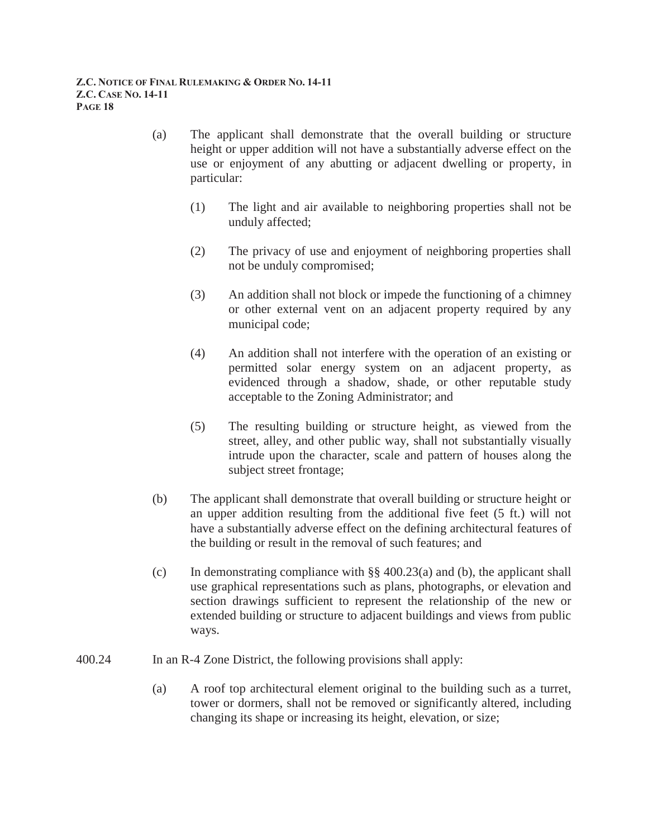- (a) The applicant shall demonstrate that the overall building or structure height or upper addition will not have a substantially adverse effect on the use or enjoyment of any abutting or adjacent dwelling or property, in particular:
	- (1) The light and air available to neighboring properties shall not be unduly affected;
	- (2) The privacy of use and enjoyment of neighboring properties shall not be unduly compromised;
	- (3) An addition shall not block or impede the functioning of a chimney or other external vent on an adjacent property required by any municipal code;
	- (4) An addition shall not interfere with the operation of an existing or permitted solar energy system on an adjacent property, as evidenced through a shadow, shade, or other reputable study acceptable to the Zoning Administrator; and
	- (5) The resulting building or structure height, as viewed from the street, alley, and other public way, shall not substantially visually intrude upon the character, scale and pattern of houses along the subject street frontage;
- (b) The applicant shall demonstrate that overall building or structure height or an upper addition resulting from the additional five feet (5 ft.) will not have a substantially adverse effect on the defining architectural features of the building or result in the removal of such features; and
- (c) In demonstrating compliance with  $\S$  400.23(a) and (b), the applicant shall use graphical representations such as plans, photographs, or elevation and section drawings sufficient to represent the relationship of the new or extended building or structure to adjacent buildings and views from public ways.
- 400.24 In an R-4 Zone District, the following provisions shall apply:
	- (a) A roof top architectural element original to the building such as a turret, tower or dormers, shall not be removed or significantly altered, including changing its shape or increasing its height, elevation, or size;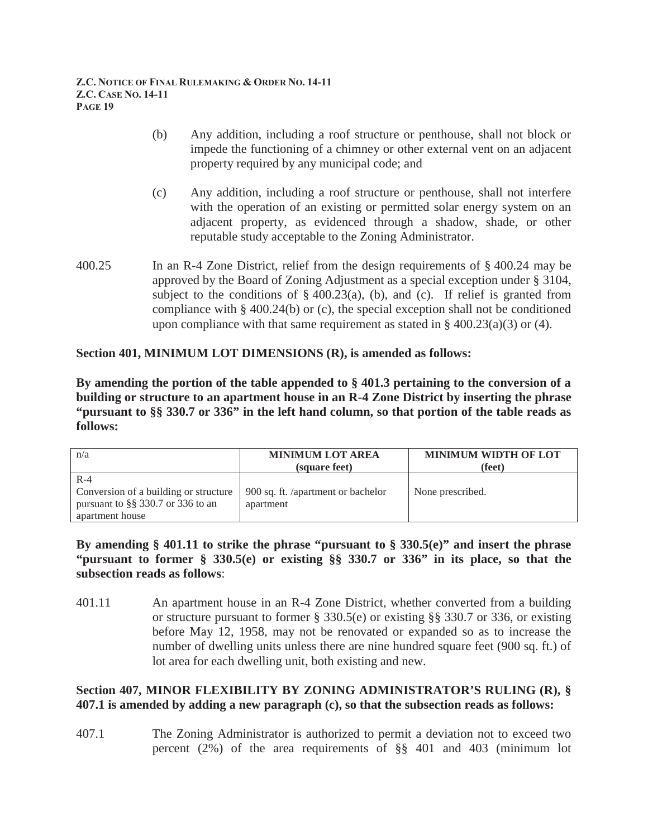- (b) Any addition, including a roof structure or penthouse, shall not block or impede the functioning of a chimney or other external vent on an adjacent property required by any municipal code; and
- (c) Any addition, including a roof structure or penthouse, shall not interfere with the operation of an existing or permitted solar energy system on an adjacent property, as evidenced through a shadow, shade, or other reputable study acceptable to the Zoning Administrator.
- 400.25 In an R-4 Zone District, relief from the design requirements of § 400.24 may be approved by the Board of Zoning Adjustment as a special exception under § 3104, subject to the conditions of  $\S$  400.23(a), (b), and (c). If relief is granted from compliance with § 400.24(b) or (c), the special exception shall not be conditioned upon compliance with that same requirement as stated in  $\S$  400.23(a)(3) or (4).

# **Section 401, MINIMUM LOT DIMENSIONS (R), is amended as follows:**

**By amending the portion of the table appended to § 401.3 pertaining to the conversion of a building or structure to an apartment house in an R-4 Zone District by inserting the phrase "pursuant to §§ 330.7 or 336" in the left hand column, so that portion of the table reads as follows:** 

| n/a                                                                                                        | <b>MINIMUM LOT AREA</b><br>(square feet)        | <b>MINIMUM WIDTH OF LOT</b><br>(feet) |
|------------------------------------------------------------------------------------------------------------|-------------------------------------------------|---------------------------------------|
| $R-4$<br>Conversion of a building or structure<br>pursuant to $\S$ § 330.7 or 336 to an<br>apartment house | 900 sq. ft. /apartment or bachelor<br>apartment | None prescribed.                      |

**By amending § 401.11 to strike the phrase "pursuant to § 330.5(e)" and insert the phrase "pursuant to former § 330.5(e) or existing §§ 330.7 or 336" in its place, so that the subsection reads as follows**:

401.11 An apartment house in an R-4 Zone District, whether converted from a building or structure pursuant to former § 330.5(e) or existing §§ 330.7 or 336, or existing before May 12, 1958, may not be renovated or expanded so as to increase the number of dwelling units unless there are nine hundred square feet (900 sq. ft.) of lot area for each dwelling unit, both existing and new.

# **Section 407, MINOR FLEXIBILITY BY ZONING ADMINISTRATOR'S RULING (R), § 407.1 is amended by adding a new paragraph (c), so that the subsection reads as follows:**

407.1 The Zoning Administrator is authorized to permit a deviation not to exceed two percent (2%) of the area requirements of §§ 401 and 403 (minimum lot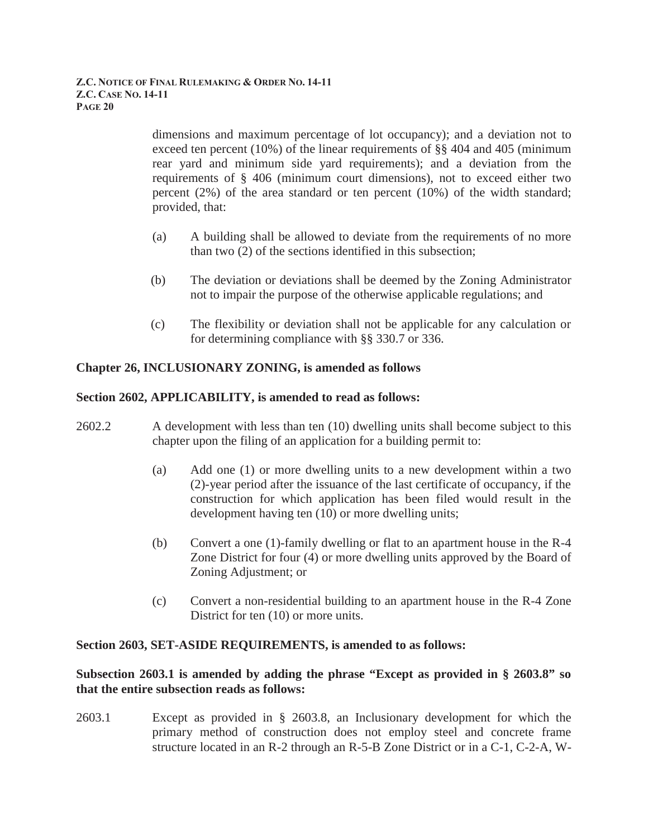dimensions and maximum percentage of lot occupancy); and a deviation not to exceed ten percent (10%) of the linear requirements of §§ 404 and 405 (minimum rear yard and minimum side yard requirements); and a deviation from the requirements of § 406 (minimum court dimensions), not to exceed either two percent (2%) of the area standard or ten percent (10%) of the width standard; provided, that:

- (a) A building shall be allowed to deviate from the requirements of no more than two (2) of the sections identified in this subsection;
- (b) The deviation or deviations shall be deemed by the Zoning Administrator not to impair the purpose of the otherwise applicable regulations; and
- (c) The flexibility or deviation shall not be applicable for any calculation or for determining compliance with §§ 330.7 or 336.

# **Chapter 26, INCLUSIONARY ZONING, is amended as follows**

## **Section 2602, APPLICABILITY, is amended to read as follows:**

- 2602.2 A development with less than ten (10) dwelling units shall become subject to this chapter upon the filing of an application for a building permit to:
	- (a) Add one (1) or more dwelling units to a new development within a two (2)-year period after the issuance of the last certificate of occupancy, if the construction for which application has been filed would result in the development having ten (10) or more dwelling units;
	- (b) Convert a one (1)-family dwelling or flat to an apartment house in the R-4 Zone District for four (4) or more dwelling units approved by the Board of Zoning Adjustment; or
	- (c) Convert a non-residential building to an apartment house in the R-4 Zone District for ten (10) or more units.

# **Section 2603, SET-ASIDE REQUIREMENTS, is amended to as follows:**

## **Subsection 2603.1 is amended by adding the phrase "Except as provided in § 2603.8" so that the entire subsection reads as follows:**

2603.1 Except as provided in § 2603.8, an Inclusionary development for which the primary method of construction does not employ steel and concrete frame structure located in an R-2 through an R-5-B Zone District or in a C-1, C-2-A, W-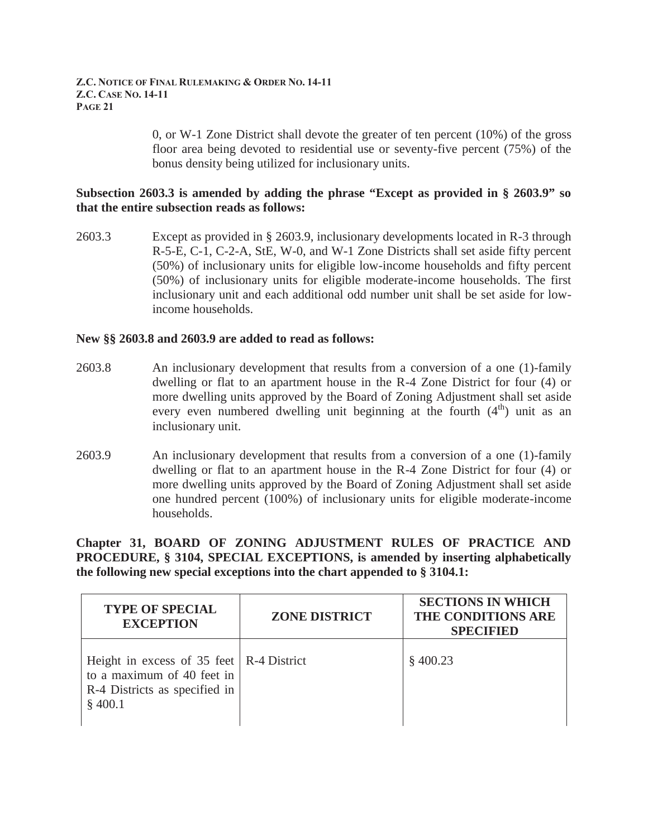0, or W-1 Zone District shall devote the greater of ten percent (10%) of the gross floor area being devoted to residential use or seventy-five percent (75%) of the bonus density being utilized for inclusionary units.

### **Subsection 2603.3 is amended by adding the phrase "Except as provided in § 2603.9" so that the entire subsection reads as follows:**

2603.3 Except as provided in § 2603.9, inclusionary developments located in R-3 through R-5-E, C-1, C-2-A, StE, W-0, and W-1 Zone Districts shall set aside fifty percent (50%) of inclusionary units for eligible low-income households and fifty percent (50%) of inclusionary units for eligible moderate-income households. The first inclusionary unit and each additional odd number unit shall be set aside for lowincome households.

### **New §§ 2603.8 and 2603.9 are added to read as follows:**

- 2603.8 An inclusionary development that results from a conversion of a one (1)-family dwelling or flat to an apartment house in the R-4 Zone District for four (4) or more dwelling units approved by the Board of Zoning Adjustment shall set aside every even numbered dwelling unit beginning at the fourth  $(4<sup>th</sup>)$  unit as an inclusionary unit.
- 2603.9 An inclusionary development that results from a conversion of a one (1)-family dwelling or flat to an apartment house in the R-4 Zone District for four (4) or more dwelling units approved by the Board of Zoning Adjustment shall set aside one hundred percent (100%) of inclusionary units for eligible moderate-income households.

**Chapter 31, BOARD OF ZONING ADJUSTMENT RULES OF PRACTICE AND PROCEDURE, § 3104, SPECIAL EXCEPTIONS, is amended by inserting alphabetically the following new special exceptions into the chart appended to § 3104.1:** 

| <b>TYPE OF SPECIAL</b><br><b>EXCEPTION</b>                                                                             | <b>ZONE DISTRICT</b> | <b>SECTIONS IN WHICH</b><br>THE CONDITIONS ARE<br><b>SPECIFIED</b> |
|------------------------------------------------------------------------------------------------------------------------|----------------------|--------------------------------------------------------------------|
| Height in excess of $35$ feet   R-4 District<br>to a maximum of 40 feet in<br>R-4 Districts as specified in<br>\$400.1 |                      | \$400.23                                                           |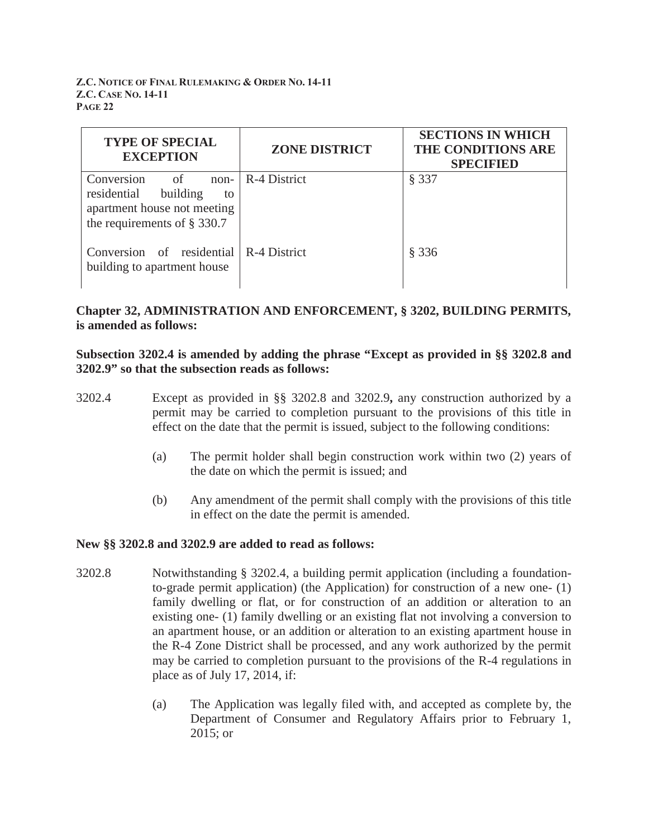| <b>TYPE OF SPECIAL</b><br><b>EXCEPTION</b>                                    | <b>ZONE DISTRICT</b> | <b>SECTIONS IN WHICH</b><br>THE CONDITIONS ARE<br><b>SPECIFIED</b> |
|-------------------------------------------------------------------------------|----------------------|--------------------------------------------------------------------|
| of<br>Conversion<br>$non-$<br>residential<br>building<br>to                   | R-4 District         | § 337                                                              |
| apartment house not meeting<br>the requirements of $\S$ 330.7                 |                      |                                                                    |
| Conversion of residential $\vert$ R-4 District<br>building to apartment house |                      | § 336                                                              |

# **Chapter 32, ADMINISTRATION AND ENFORCEMENT, § 3202, BUILDING PERMITS, is amended as follows:**

## **Subsection 3202.4 is amended by adding the phrase "Except as provided in §§ 3202.8 and 3202.9" so that the subsection reads as follows:**

- 3202.4 Except as provided in §§ 3202.8 and 3202.9**,** any construction authorized by a permit may be carried to completion pursuant to the provisions of this title in effect on the date that the permit is issued, subject to the following conditions:
	- (a) The permit holder shall begin construction work within two (2) years of the date on which the permit is issued; and
	- (b) Any amendment of the permit shall comply with the provisions of this title in effect on the date the permit is amended.

# **New §§ 3202.8 and 3202.9 are added to read as follows:**

- 3202.8 Notwithstanding § 3202.4, a building permit application (including a foundationto-grade permit application) (the Application) for construction of a new one- (1) family dwelling or flat, or for construction of an addition or alteration to an existing one- (1) family dwelling or an existing flat not involving a conversion to an apartment house, or an addition or alteration to an existing apartment house in the R-4 Zone District shall be processed, and any work authorized by the permit may be carried to completion pursuant to the provisions of the R-4 regulations in place as of July 17, 2014, if:
	- (a) The Application was legally filed with, and accepted as complete by, the Department of Consumer and Regulatory Affairs prior to February 1, 2015; or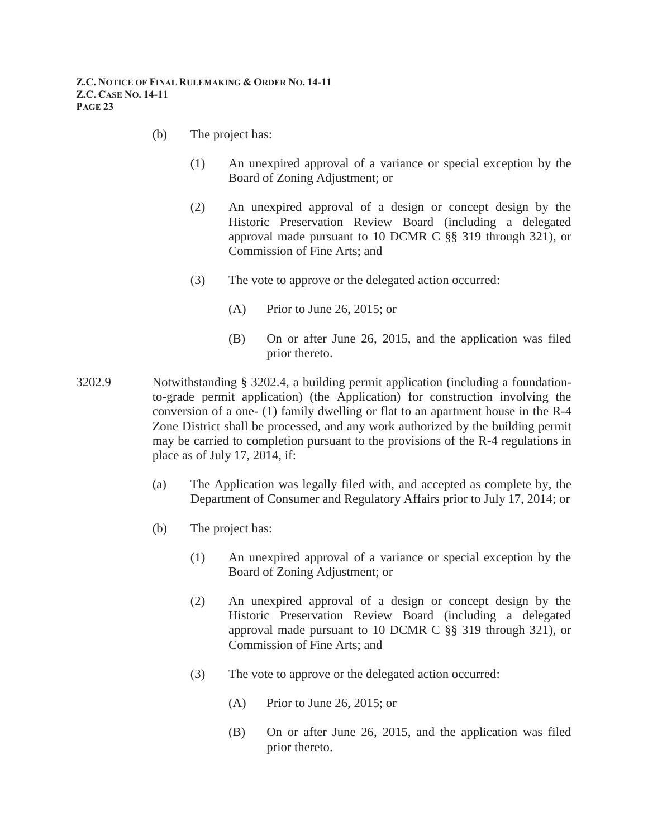- (b) The project has:
	- (1) An unexpired approval of a variance or special exception by the Board of Zoning Adjustment; or
	- (2) An unexpired approval of a design or concept design by the Historic Preservation Review Board (including a delegated approval made pursuant to 10 DCMR C §§ 319 through 321), or Commission of Fine Arts; and
	- (3) The vote to approve or the delegated action occurred:
		- (A) Prior to June 26, 2015; or
		- (B) On or after June 26, 2015, and the application was filed prior thereto.
- 3202.9 Notwithstanding § 3202.4, a building permit application (including a foundationto-grade permit application) (the Application) for construction involving the conversion of a one- (1) family dwelling or flat to an apartment house in the R-4 Zone District shall be processed, and any work authorized by the building permit may be carried to completion pursuant to the provisions of the R-4 regulations in place as of July 17, 2014, if:
	- (a) The Application was legally filed with, and accepted as complete by, the Department of Consumer and Regulatory Affairs prior to July 17, 2014; or
	- (b) The project has:
		- (1) An unexpired approval of a variance or special exception by the Board of Zoning Adjustment; or
		- (2) An unexpired approval of a design or concept design by the Historic Preservation Review Board (including a delegated approval made pursuant to 10 DCMR C §§ 319 through 321), or Commission of Fine Arts; and
		- (3) The vote to approve or the delegated action occurred:
			- (A) Prior to June 26, 2015; or
			- (B) On or after June 26, 2015, and the application was filed prior thereto.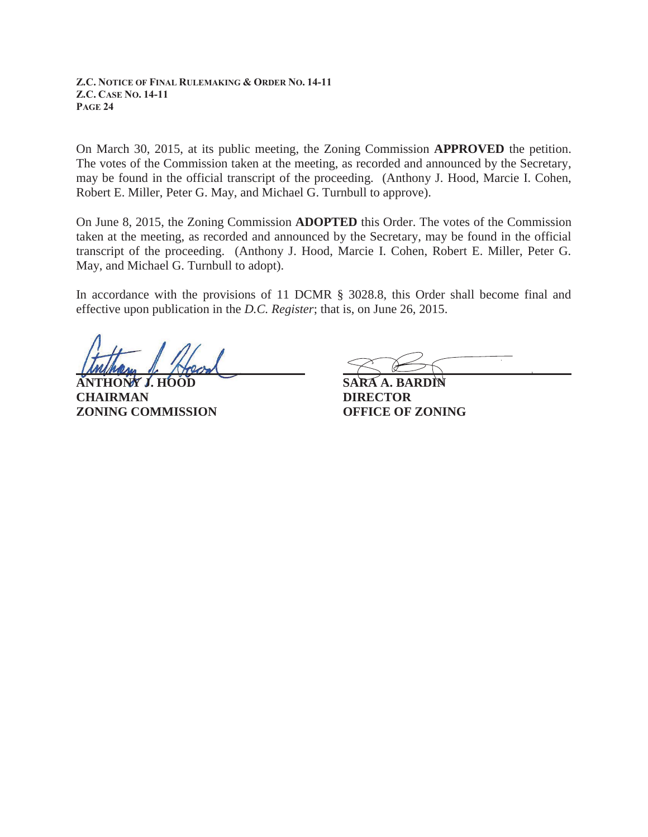On March 30, 2015, at its public meeting, the Zoning Commission **APPROVED** the petition. The votes of the Commission taken at the meeting, as recorded and announced by the Secretary, may be found in the official transcript of the proceeding. (Anthony J. Hood, Marcie I. Cohen, Robert E. Miller, Peter G. May, and Michael G. Turnbull to approve).

On June 8, 2015, the Zoning Commission **ADOPTED** this Order. The votes of the Commission taken at the meeting, as recorded and announced by the Secretary, may be found in the official transcript of the proceeding. (Anthony J. Hood, Marcie I. Cohen, Robert E. Miller, Peter G. May, and Michael G. Turnbull to adopt).

In accordance with the provisions of 11 DCMR § 3028.8, this Order shall become final and effective upon publication in the *D.C. Register*; that is, on June 26, 2015.

**ANTHONY J. HOOD SARA A. BARDIN CHAIRMAN DIRECTOR ZONING COMMISSION OFFICE OF ZONING**